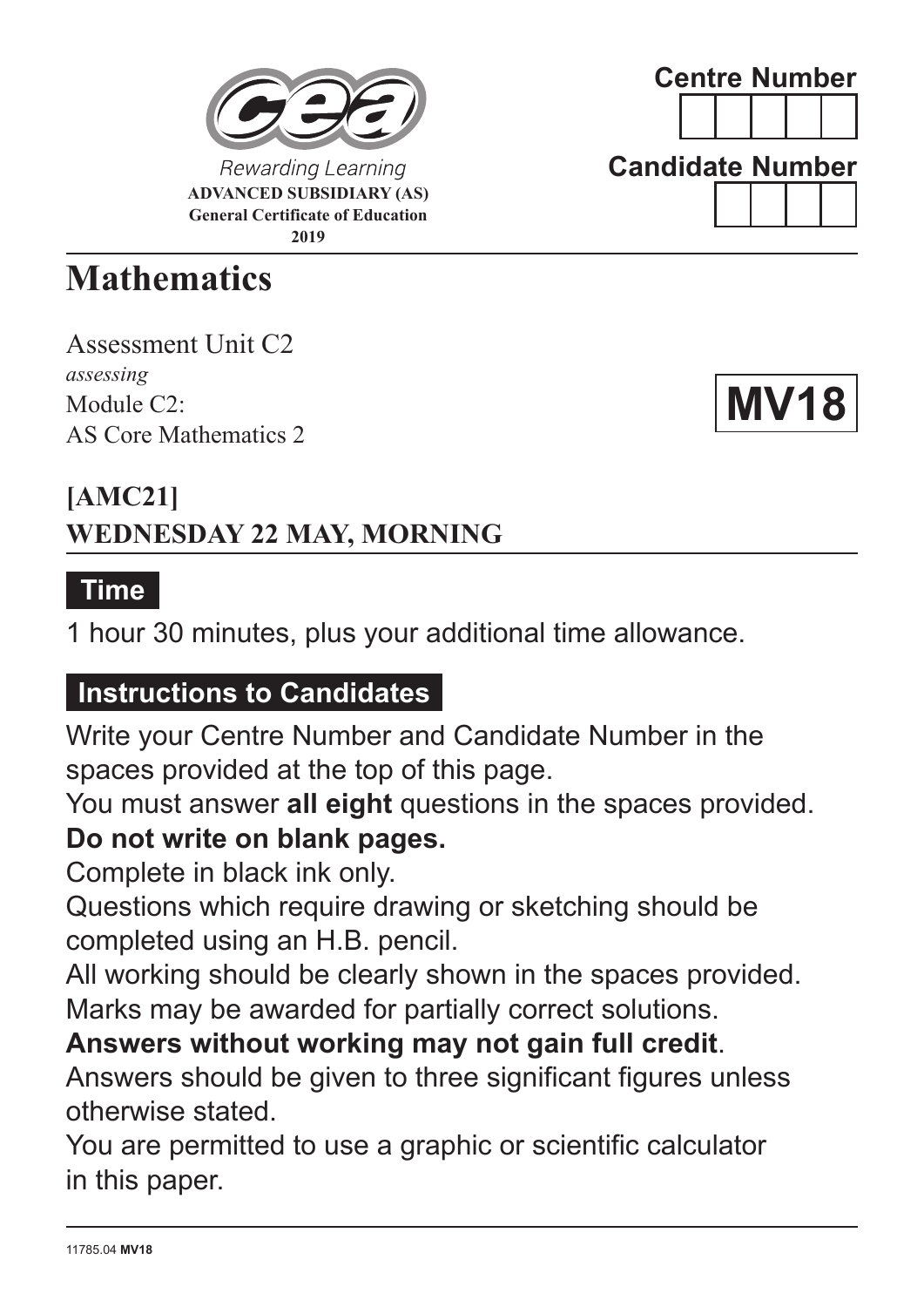**2019**

# **Mathematics**

Assessment Unit C2 *assessing* Module C<sub>2</sub><sup>.</sup> AS Core Mathematics 2

### **[AMC21] WEDNESDAY 22 MAY, MORNING**

#### **Time**

1 hour 30 minutes, plus your additional time allowance.

### **Instructions to Candidates**

Write your Centre Number and Candidate Number in the spaces provided at the top of this page.

You must answer **all eight** questions in the spaces provided.

#### **Do not write on blank pages.**

Complete in black ink only.

Questions which require drawing or sketching should be completed using an H.B. pencil.

All working should be clearly shown in the spaces provided. Marks may be awarded for partially correct solutions.

#### **Answers without working may not gain full credit**.

Answers should be given to three significant figures unless otherwise stated.

You are permitted to use a graphic or scientific calculator in this paper.





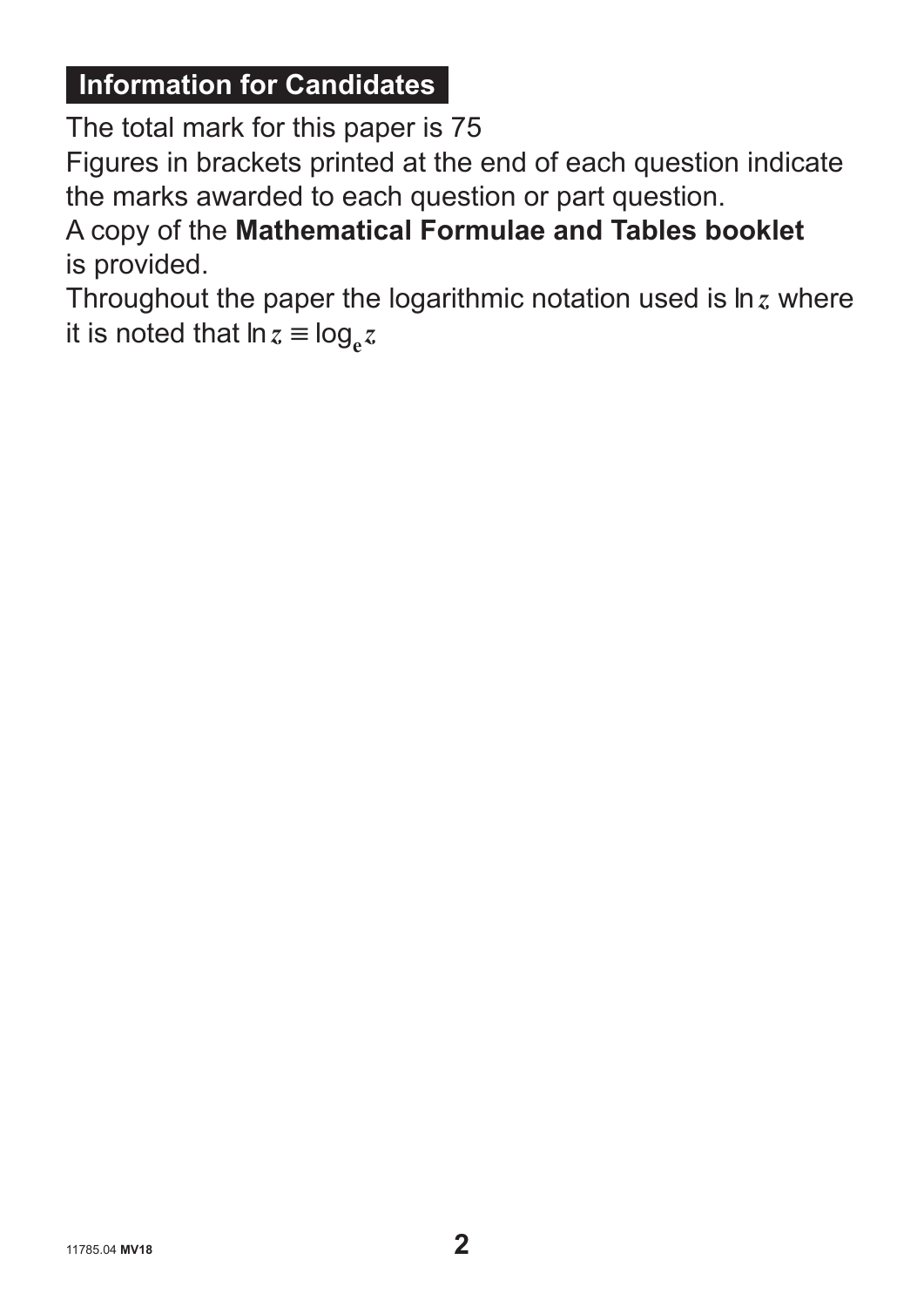### **Information for Candidates**

The total mark for this paper is 75

Figures in brackets printed at the end of each question indicate the marks awarded to each question or part question.

A copy of the **Mathematical Formulae and Tables booklet** is provided.

Throughout the paper the logarithmic notation used is ln*z* where it is noted that  $\ln z \equiv \log_e z$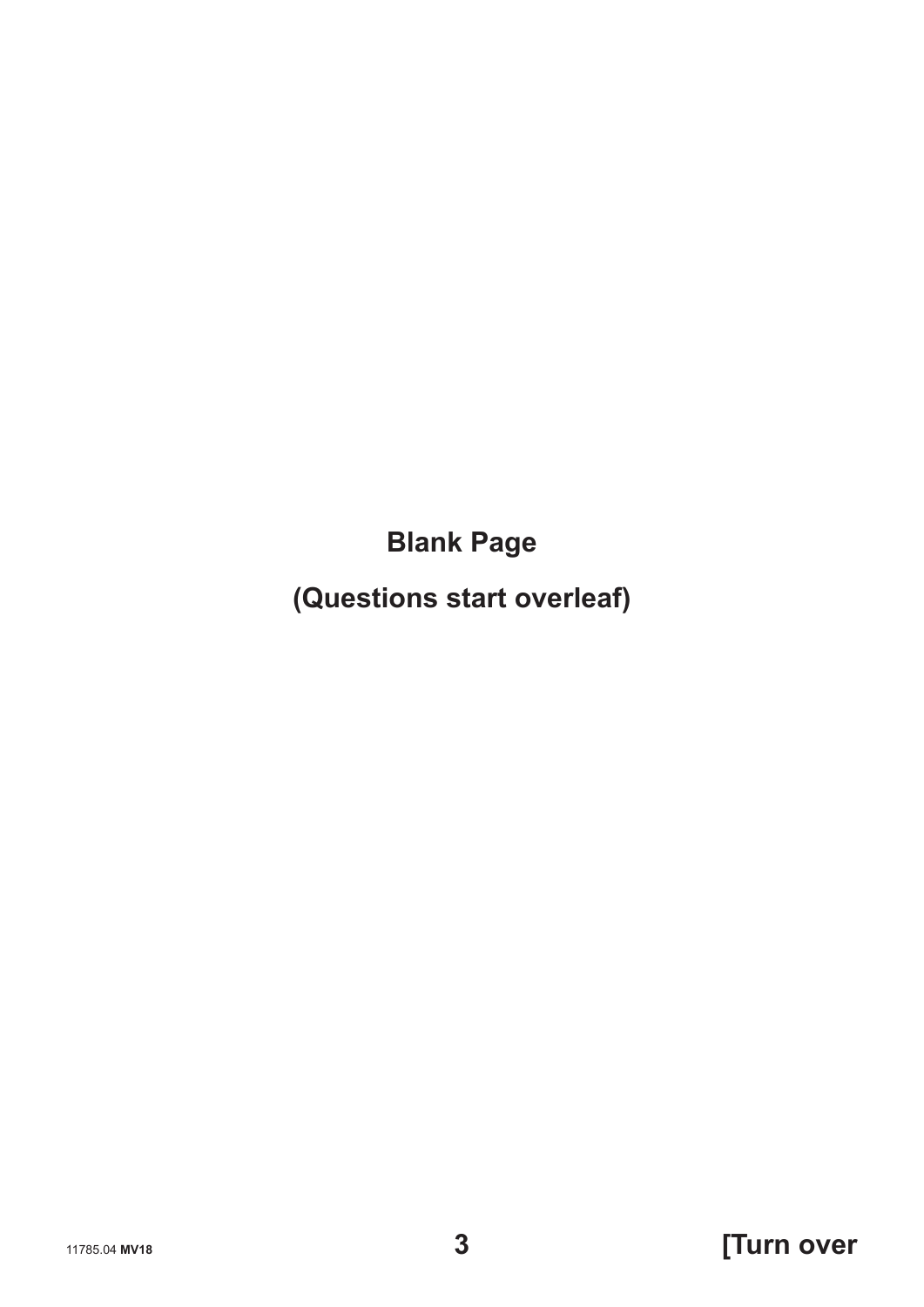### **Blank Page**

### (Questions start overleaf)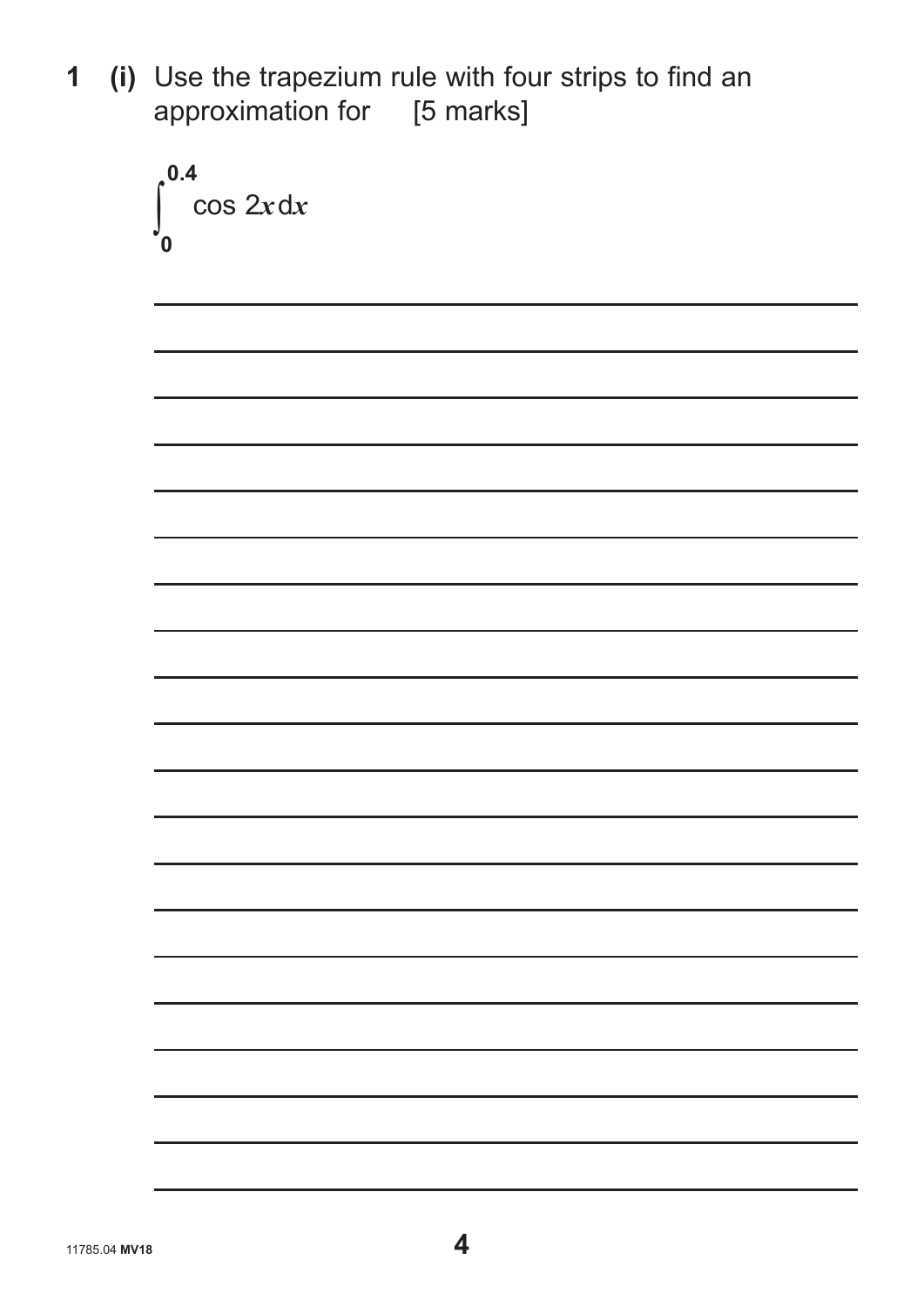(i) Use the trapezium rule with four strips to find an  $\mathbf 1$ approximation for [5 marks]

```
0.4\cos 2x dx\mathbf{0}
```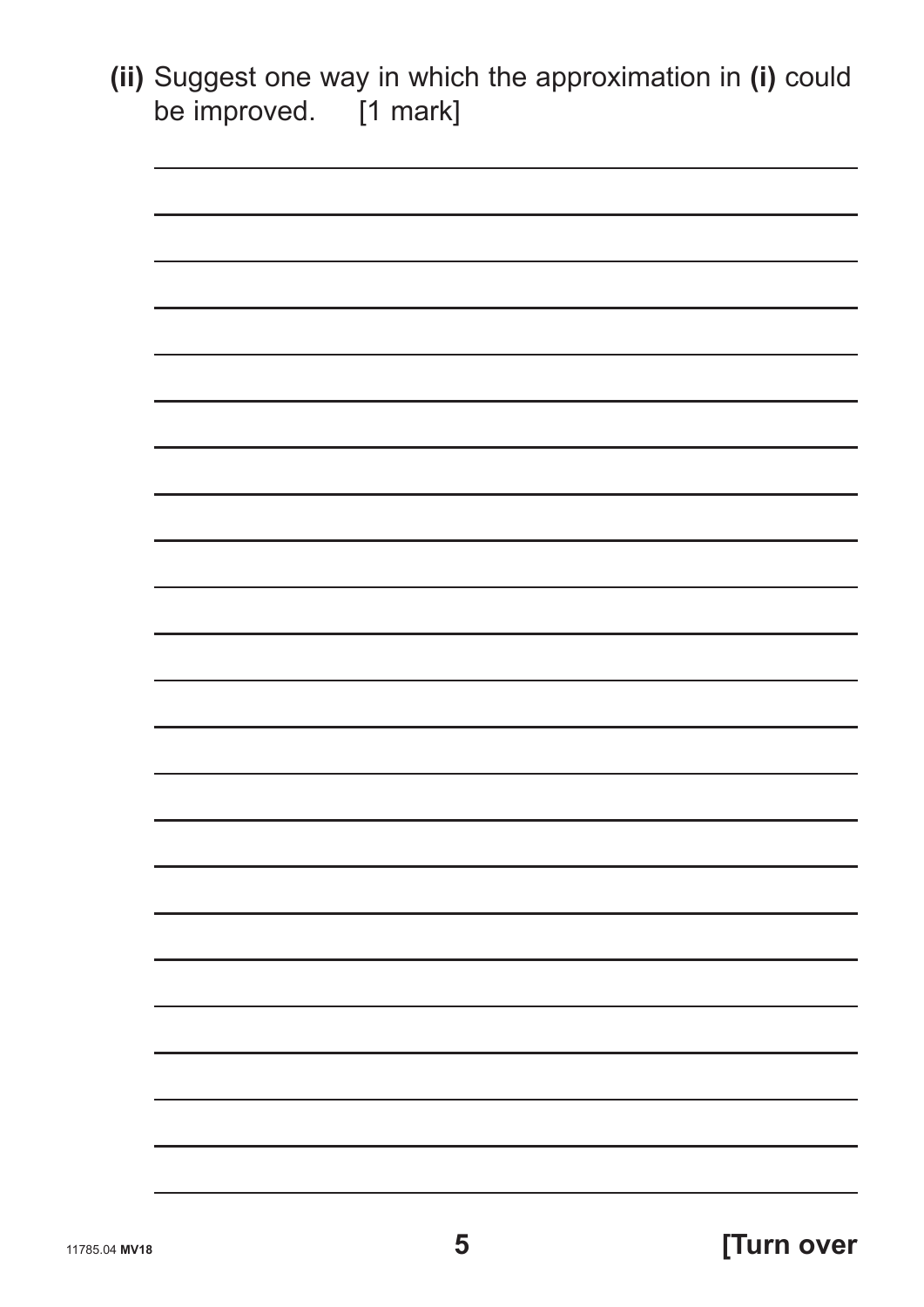| (ii) Suggest one way in which the approximation in (i) could<br>be improved. [1 mark] |
|---------------------------------------------------------------------------------------|
|                                                                                       |
|                                                                                       |
|                                                                                       |
|                                                                                       |
|                                                                                       |
|                                                                                       |
|                                                                                       |
|                                                                                       |
|                                                                                       |
|                                                                                       |
|                                                                                       |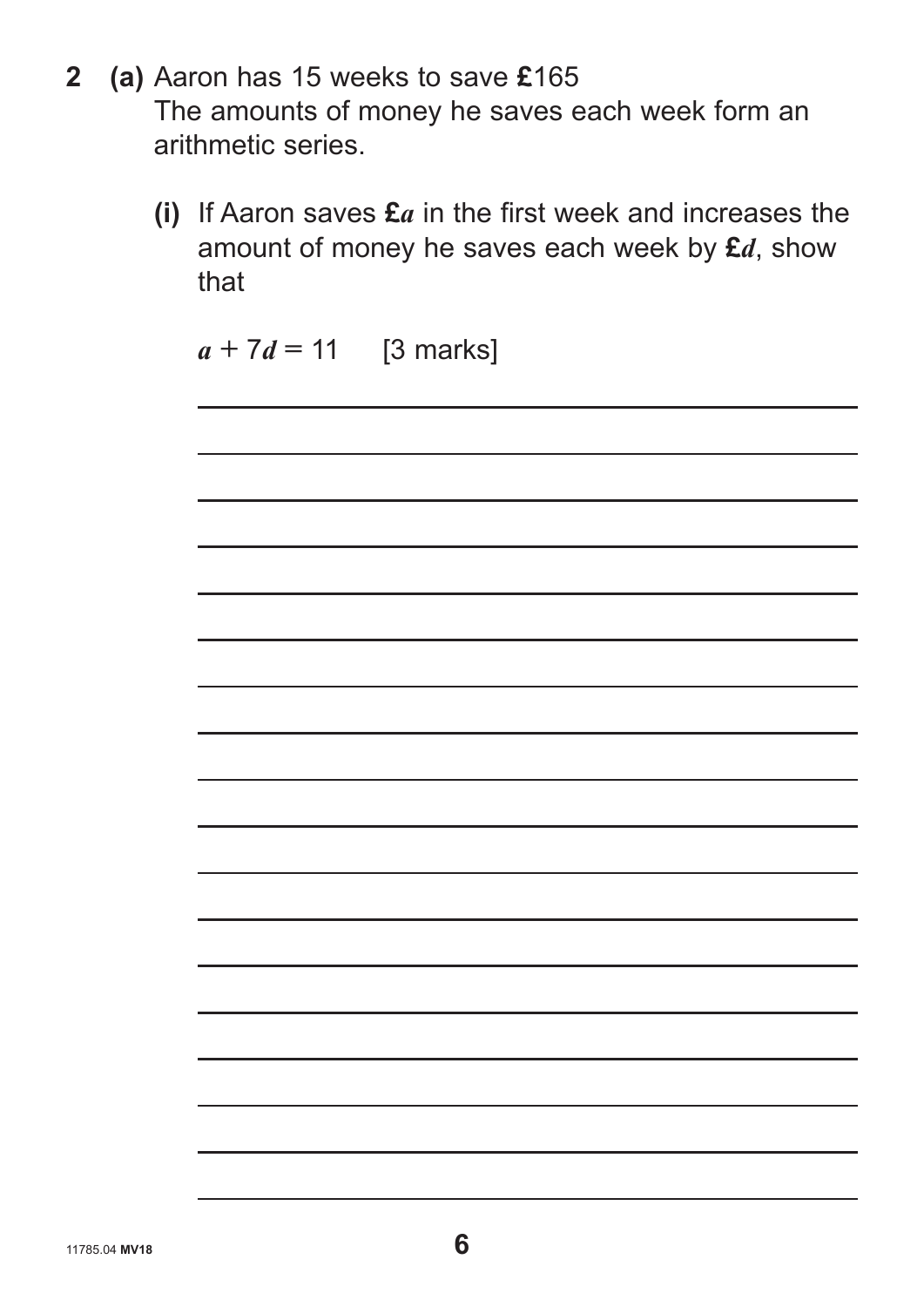- **2 (a)** Aaron has 15 weeks to save **£**165 The amounts of money he saves each week form an arithmetic series.
	- **(i)** If Aaron saves **£***a* in the first week and increases the amount of money he saves each week by **£***d*, show that

*a* **+** 7*d* **=** 11 [3 marks]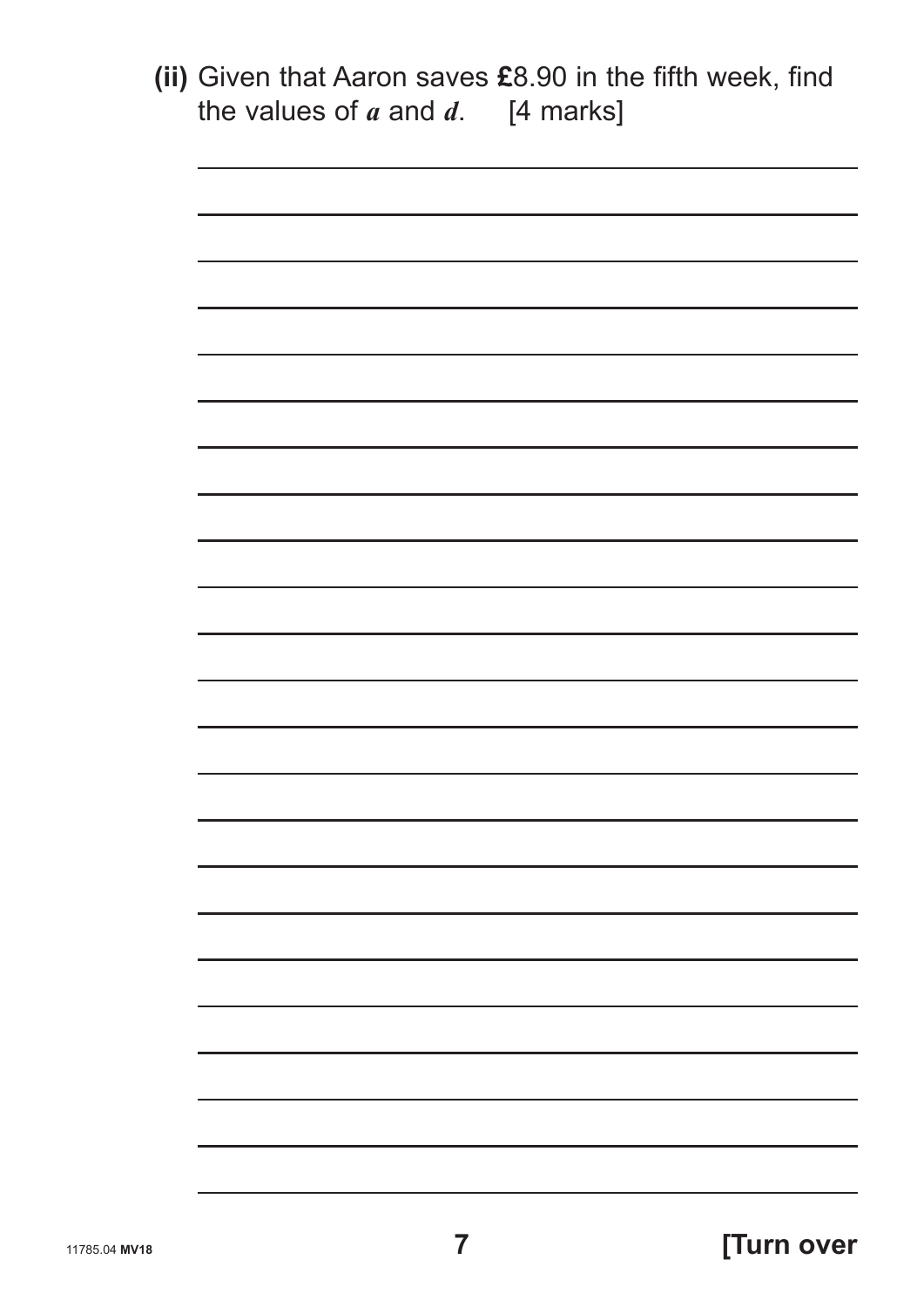|               | (ii) Given that Aaron saves £8.90 in the fifth week, find<br>the values of $a$ and $d$ . [4 marks] |
|---------------|----------------------------------------------------------------------------------------------------|
|               |                                                                                                    |
|               |                                                                                                    |
|               |                                                                                                    |
|               |                                                                                                    |
|               |                                                                                                    |
|               |                                                                                                    |
|               |                                                                                                    |
|               |                                                                                                    |
|               |                                                                                                    |
|               |                                                                                                    |
|               |                                                                                                    |
|               |                                                                                                    |
| 11785.04 MV18 | [Turn over<br>$\overline{\mathbf{7}}$                                                              |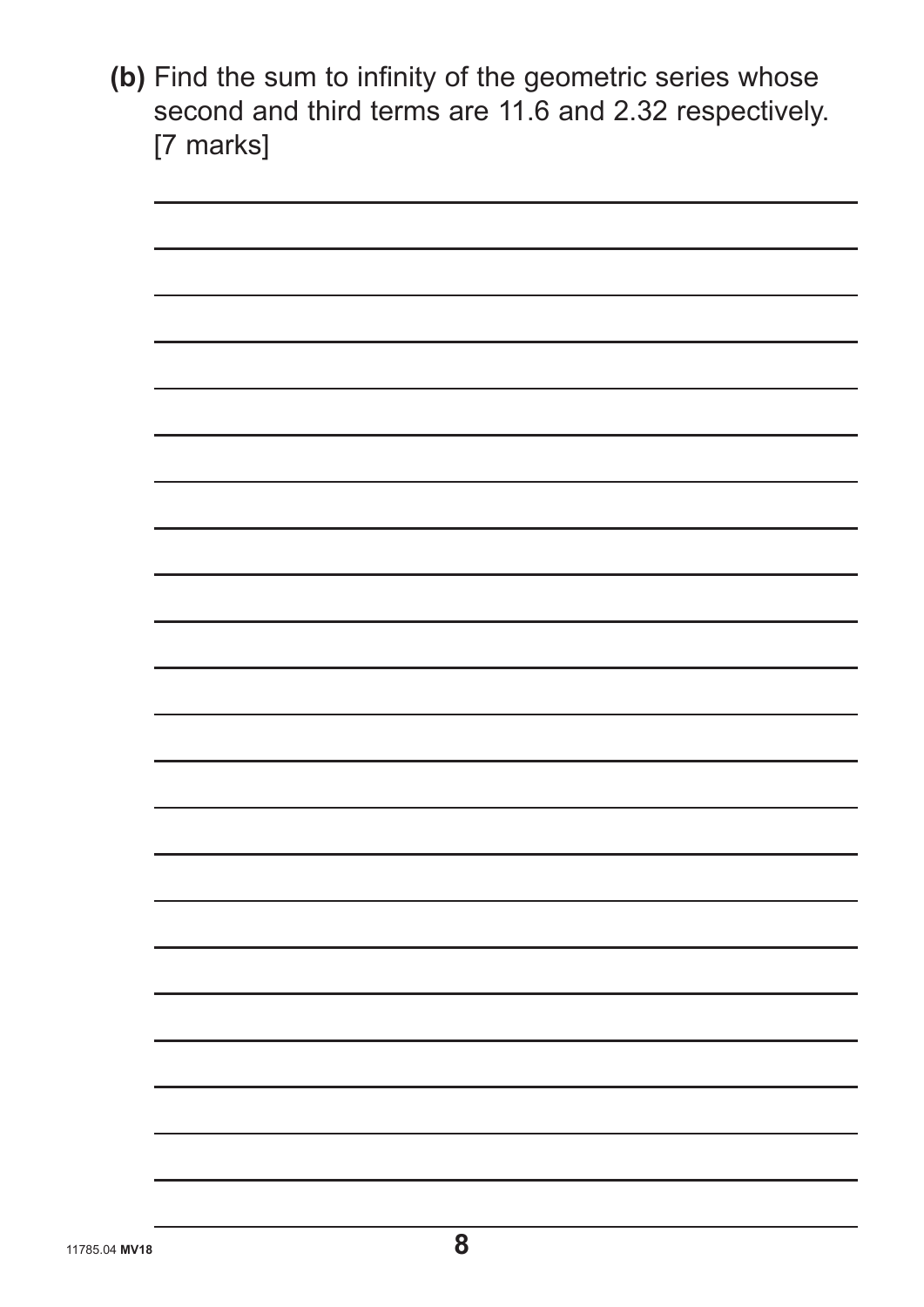**(b)** Find the sum to infinity of the geometric series whose second and third terms are 11.6 and 2.32 respectively. [7 marks]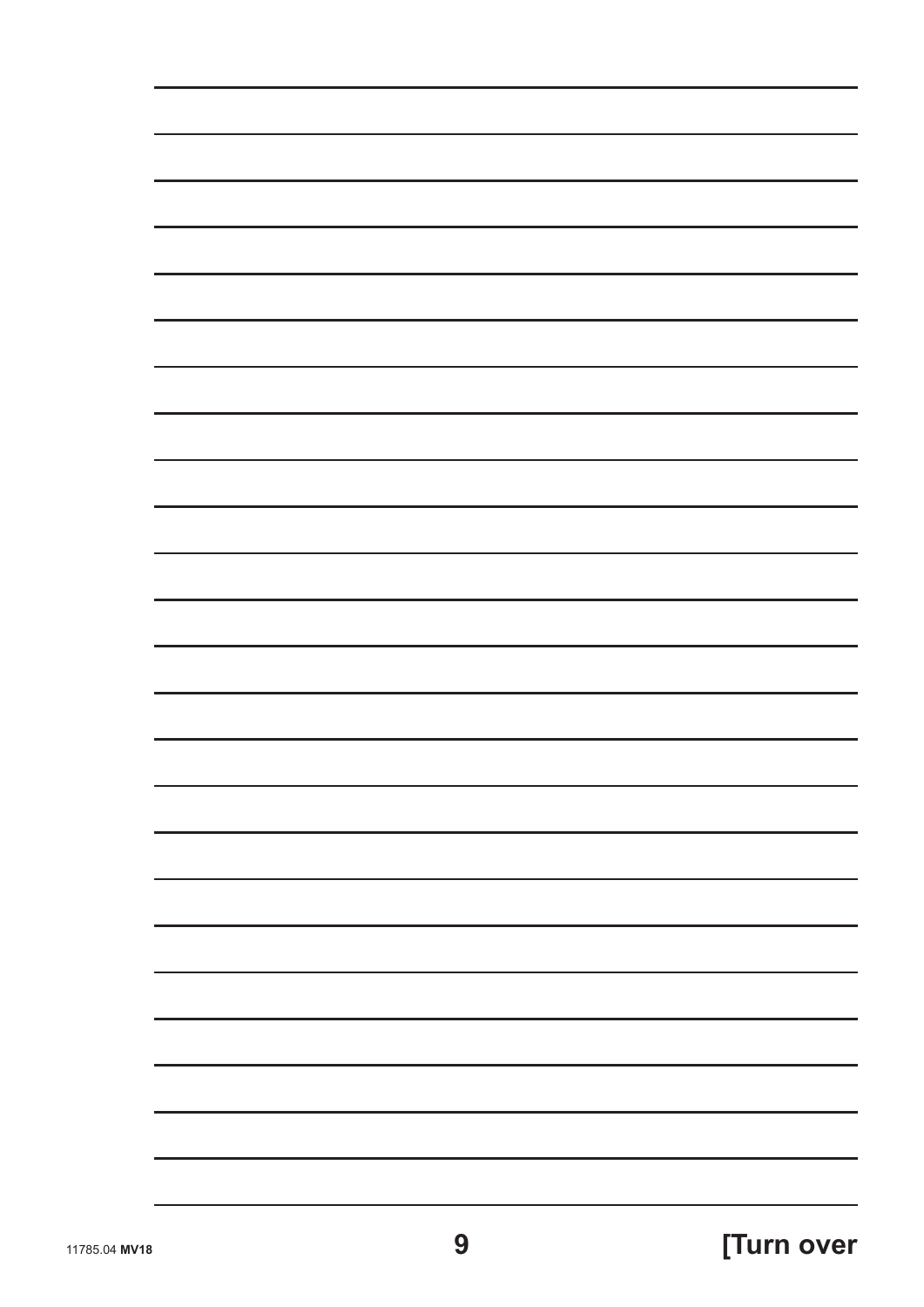| <b>Turn over</b> |  |  |
|------------------|--|--|
|                  |  |  |

|  | 11785.04 MV18 |
|--|---------------|
|--|---------------|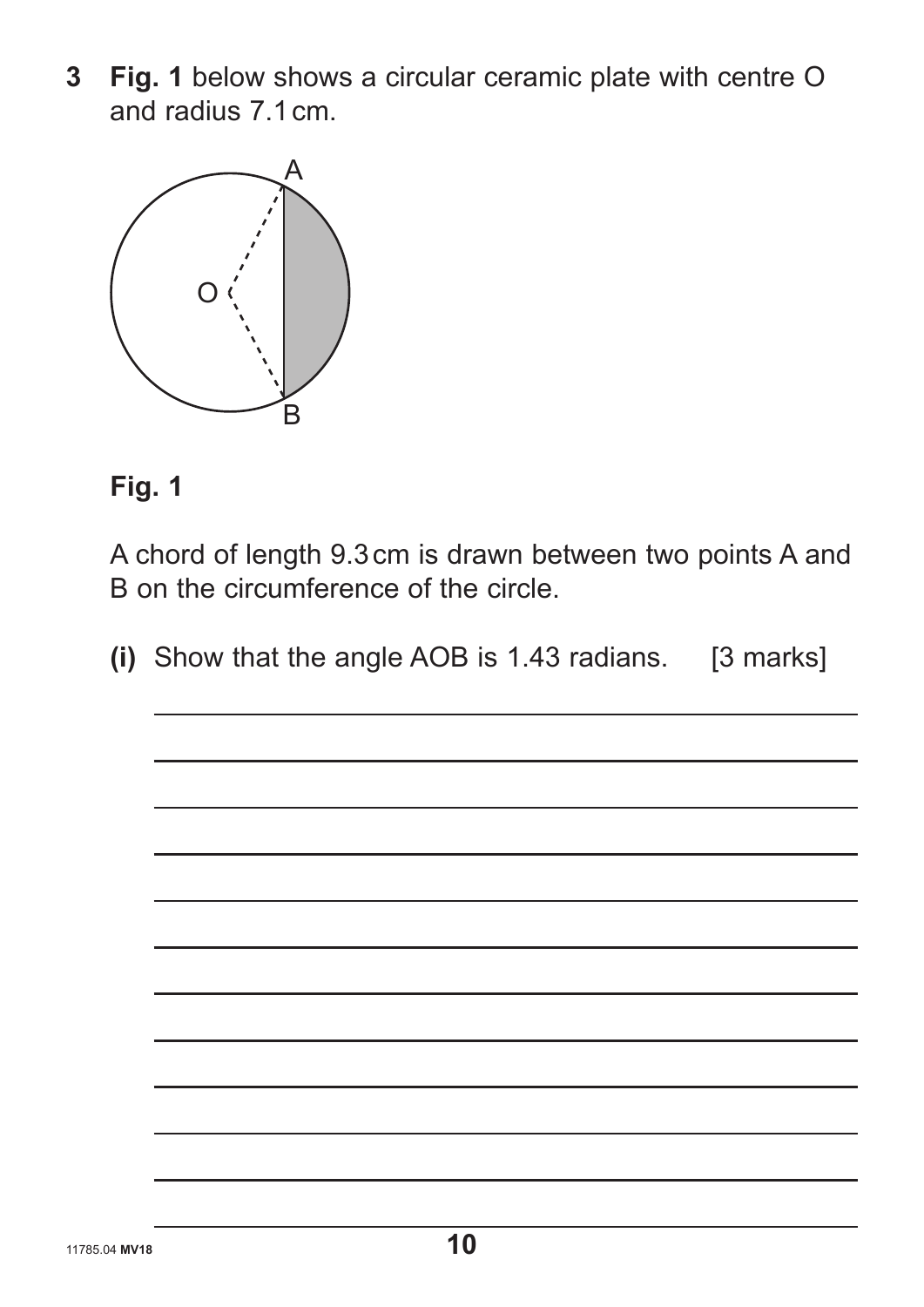**3 Fig. 1** below shows a circular ceramic plate with centre O and radius 7.1 cm.



#### **Fig. 1**

 A chord of length 9.3 cm is drawn between two points A and B on the circumference of the circle.

 **(i)** Show that the angle AOB is 1.43 radians. [3 marks]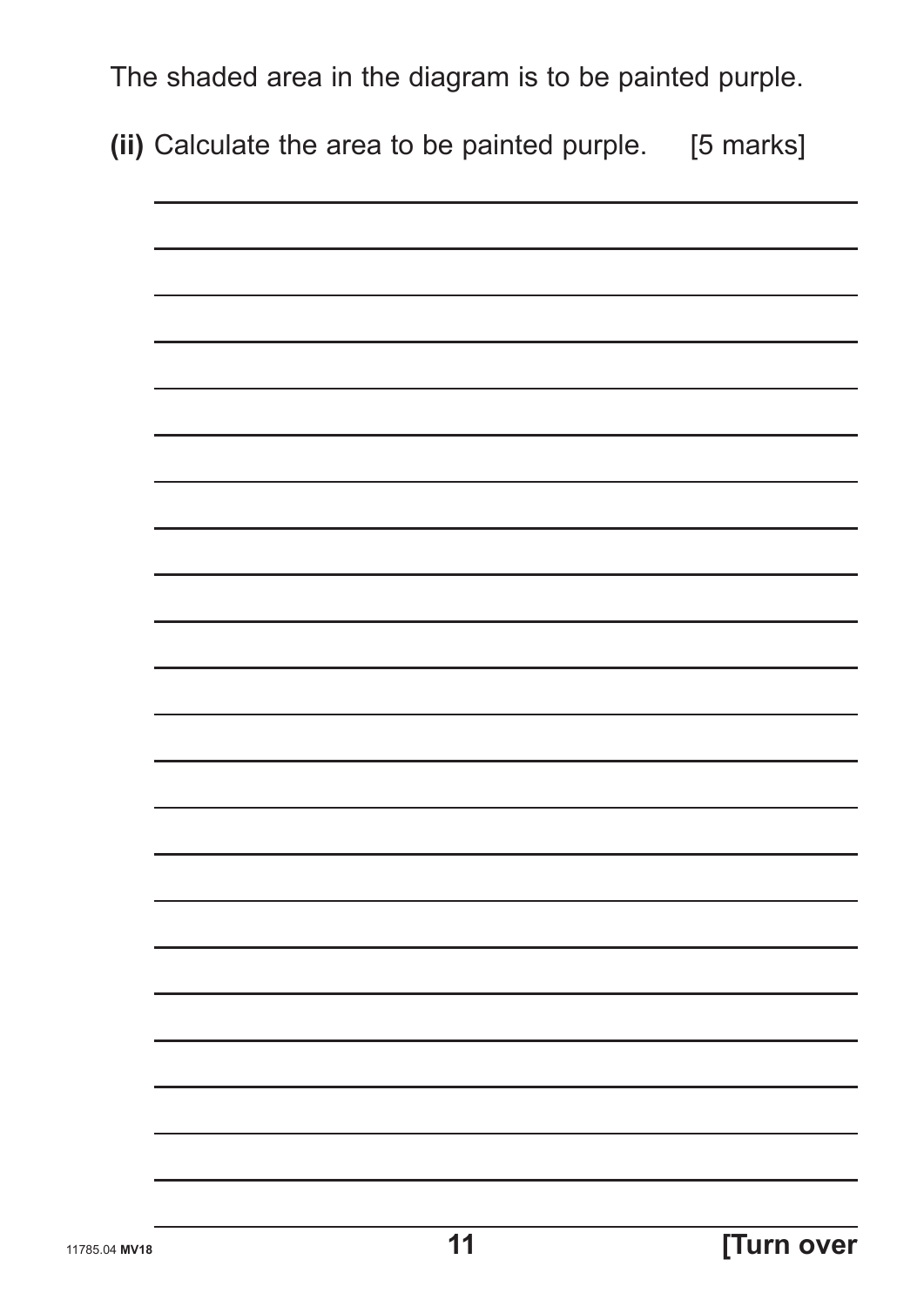The shaded area in the diagram is to be painted purple.

 **(ii)** Calculate the area to be painted purple. [5 marks]

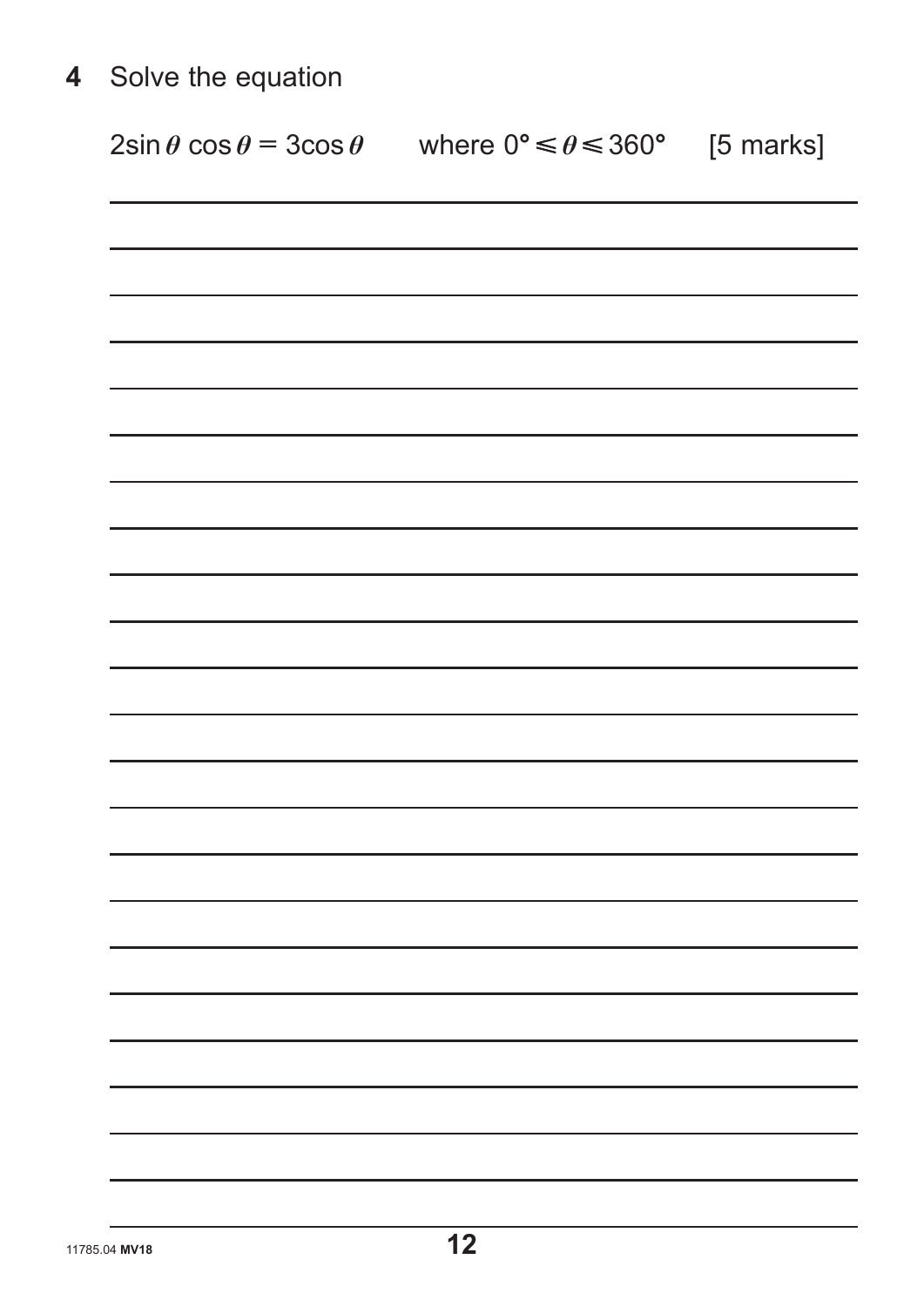## 4 Solve the equation

| $2\sin\theta\cos\theta = 3\cos\theta$ where $0^{\circ} \le \theta \le 360^{\circ}$ [5 marks] |  |
|----------------------------------------------------------------------------------------------|--|
|                                                                                              |  |
|                                                                                              |  |
|                                                                                              |  |
|                                                                                              |  |
|                                                                                              |  |
|                                                                                              |  |
|                                                                                              |  |
|                                                                                              |  |
|                                                                                              |  |
|                                                                                              |  |
|                                                                                              |  |
|                                                                                              |  |
|                                                                                              |  |
|                                                                                              |  |
|                                                                                              |  |
|                                                                                              |  |
|                                                                                              |  |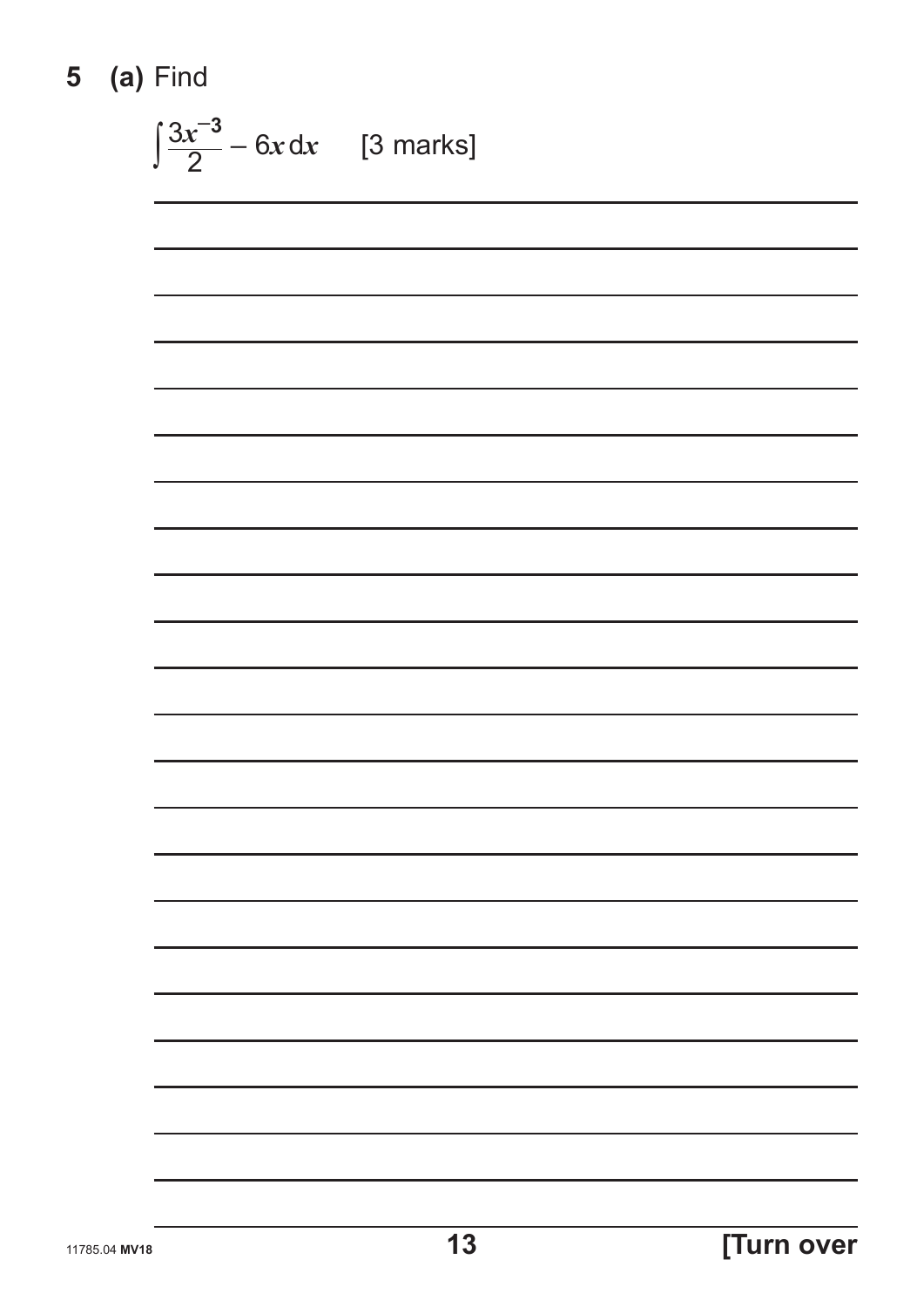(a) Find  $\overline{\mathbf{5}}$ 

$$
\frac{\sqrt{3x^{-3}} - 6x \, dx \quad [3 \text{ marks}] }{2}
$$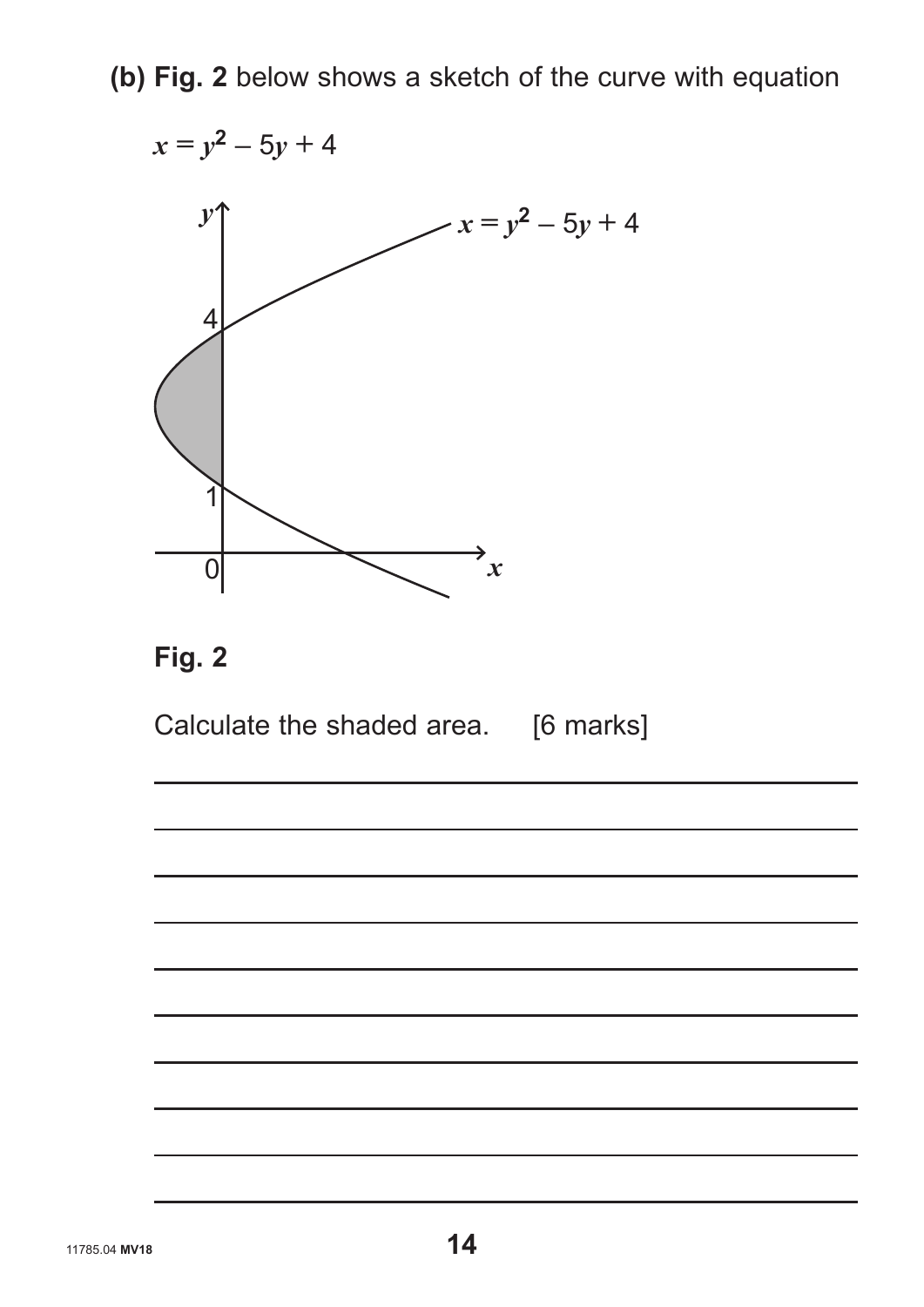**(b) Fig. 2** below shows a sketch of the curve with equation



#### **Fig. 2**

Calculate the shaded area. [6 marks]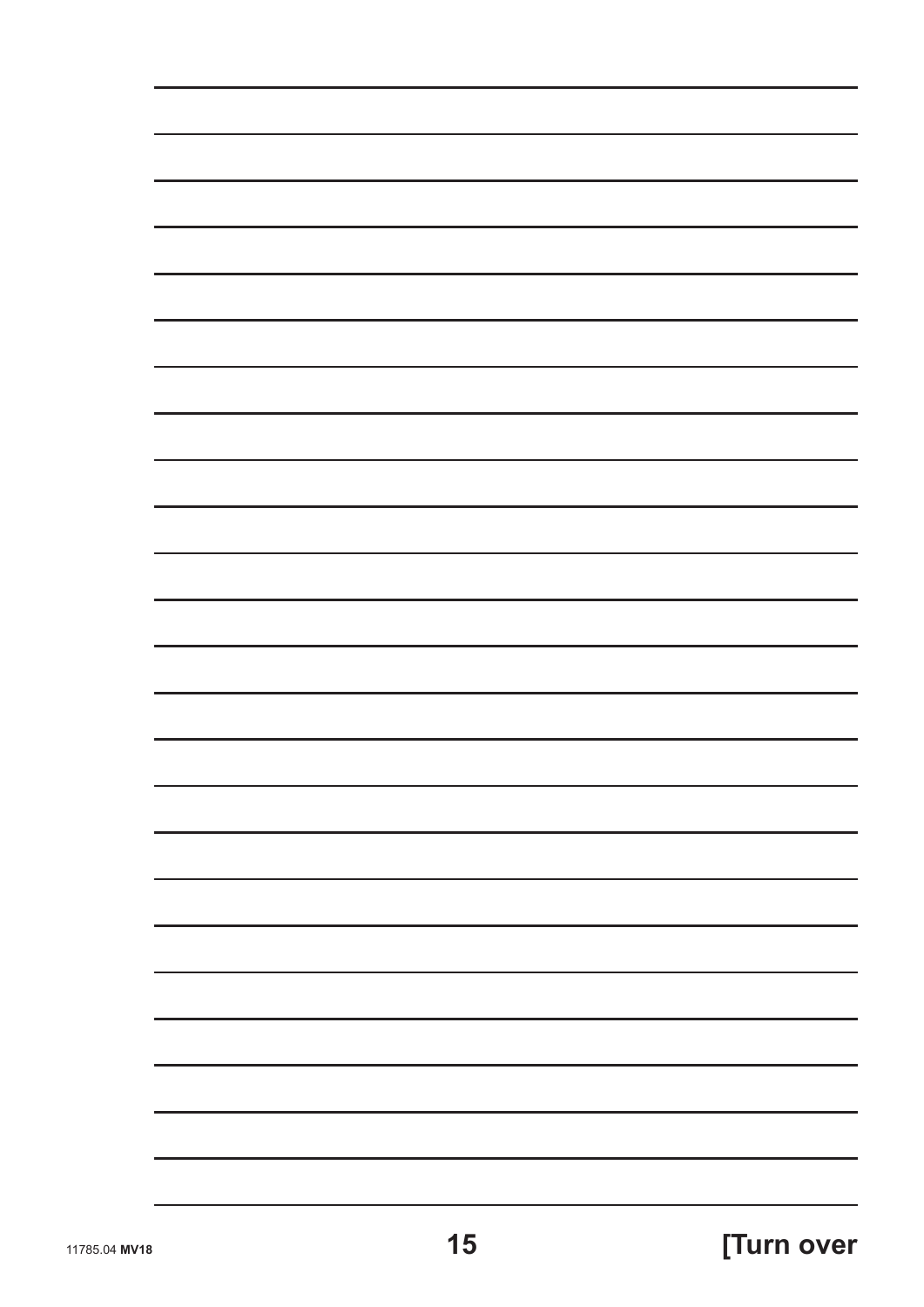|  |  | <b>Turn over</b> |  |
|--|--|------------------|--|
|  |  |                  |  |
|  |  |                  |  |

| 11785.04 MV18 |  |
|---------------|--|
|---------------|--|

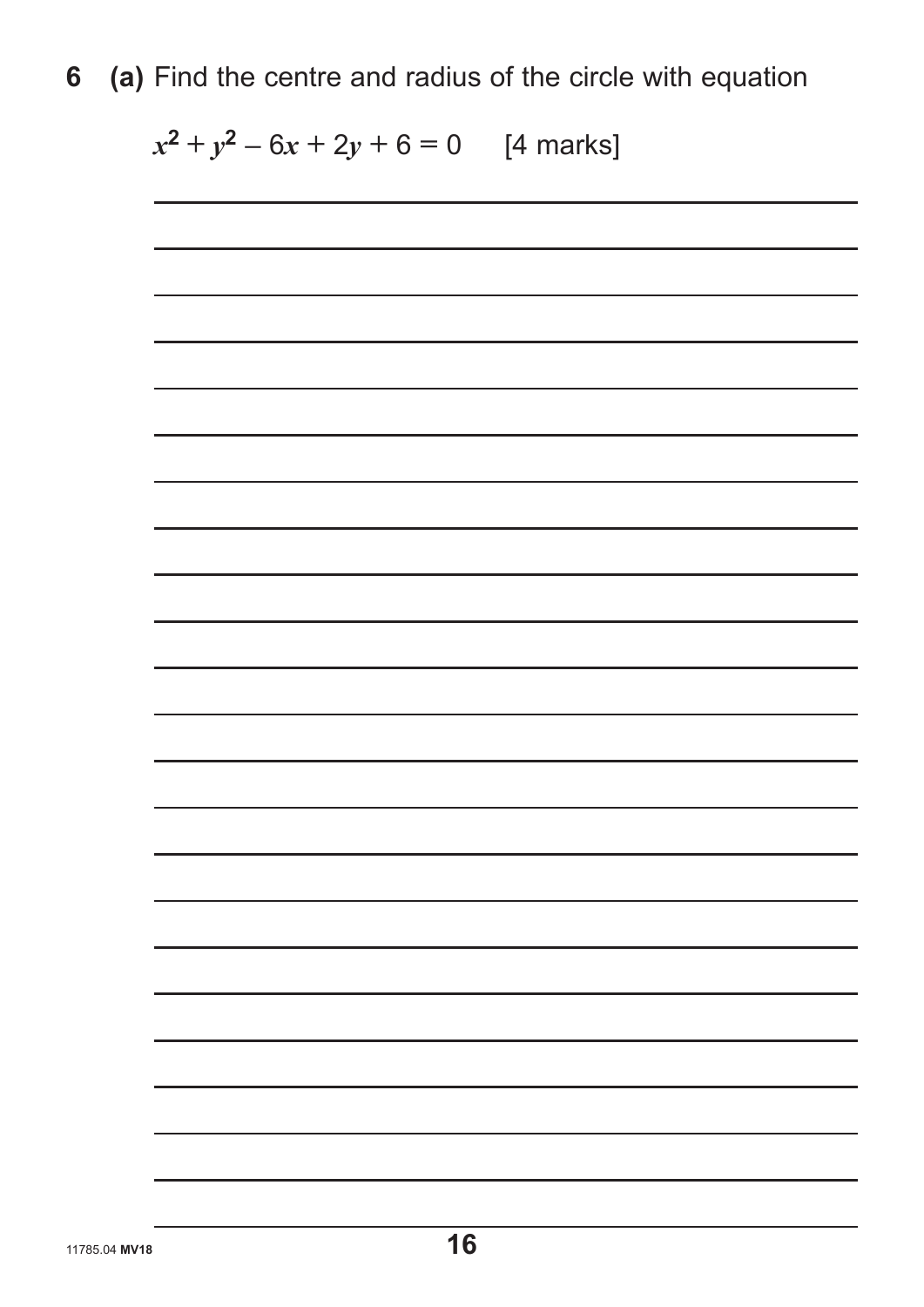**6 (a)** Find the centre and radius of the circle with equation

 $x^2 + y^2 - 6x + 2y + 6 = 0$  [4 marks]

11785.04 MV18 **16**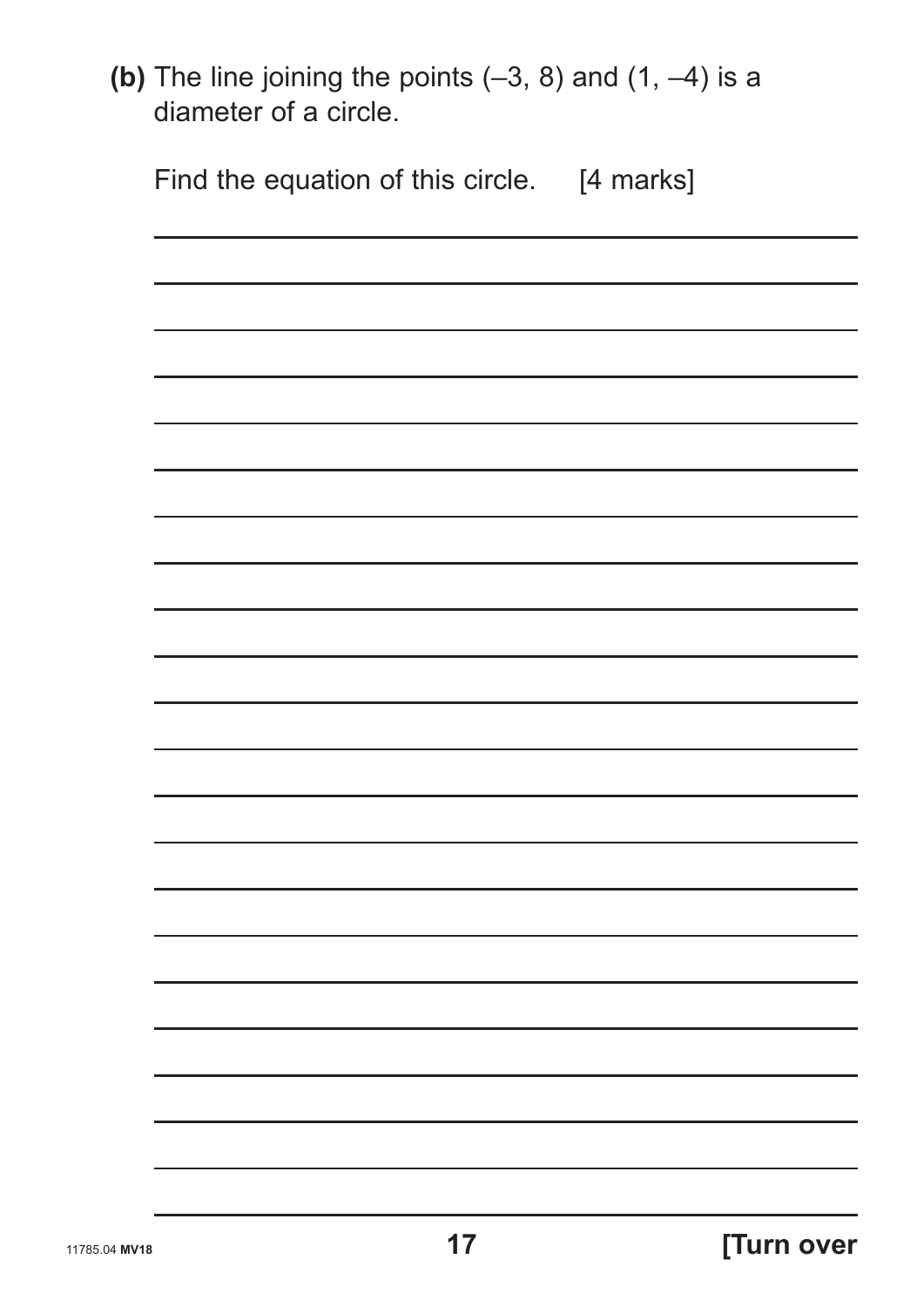**(b)** The line joining the points (**–**3, 8) and (1, **–**4) is a diameter of a circle.

| Find the equation of this circle. [4 marks] |  |
|---------------------------------------------|--|
|                                             |  |
|                                             |  |
|                                             |  |
|                                             |  |
|                                             |  |
|                                             |  |
|                                             |  |
|                                             |  |
|                                             |  |
|                                             |  |
|                                             |  |
|                                             |  |
|                                             |  |
|                                             |  |
|                                             |  |
|                                             |  |
|                                             |  |
|                                             |  |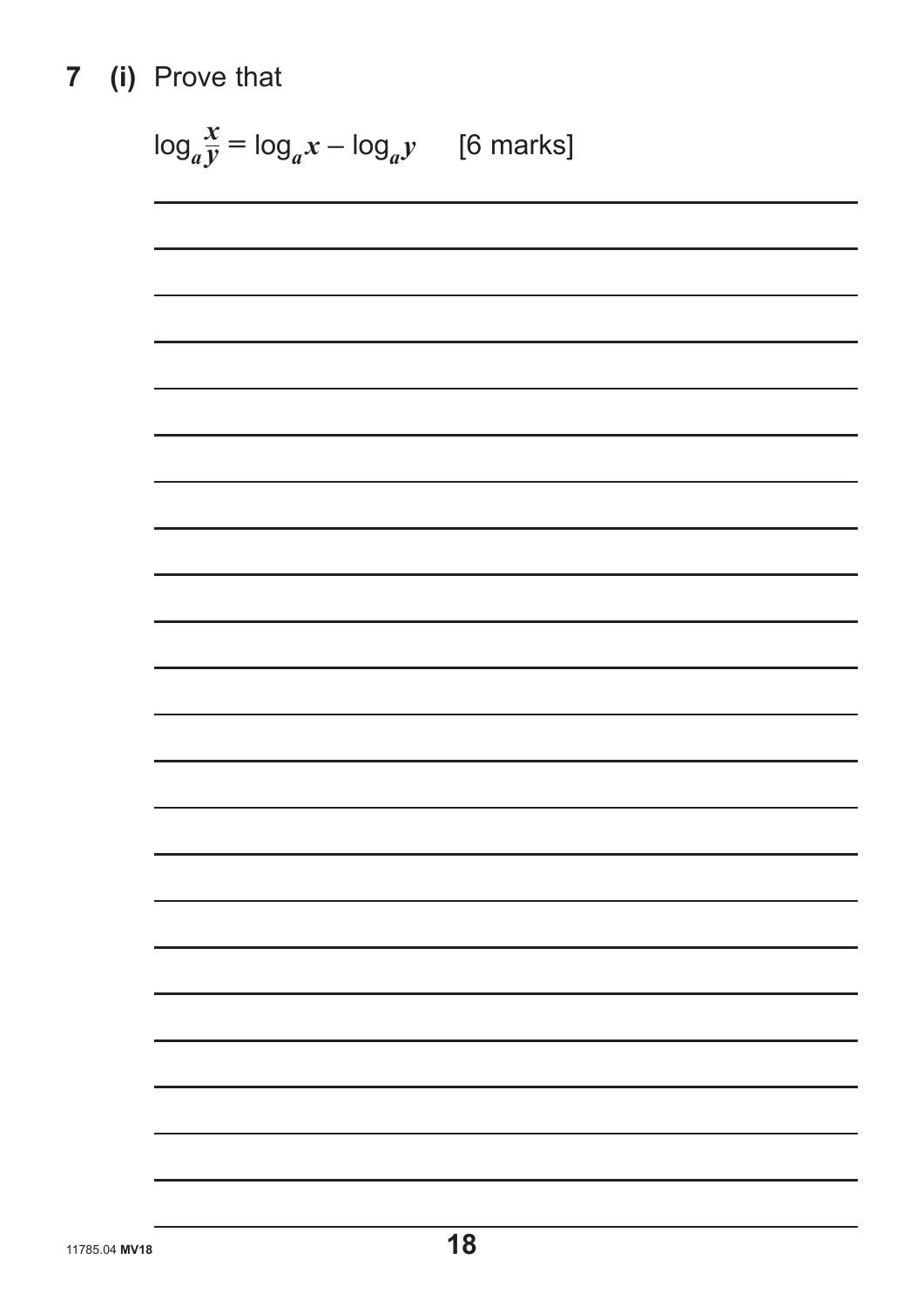7 (i) Prove that

$$
\frac{\log_{a} \frac{x}{y} = \log_{a} x - \log_{a} y \quad \text{[6 marks]}
$$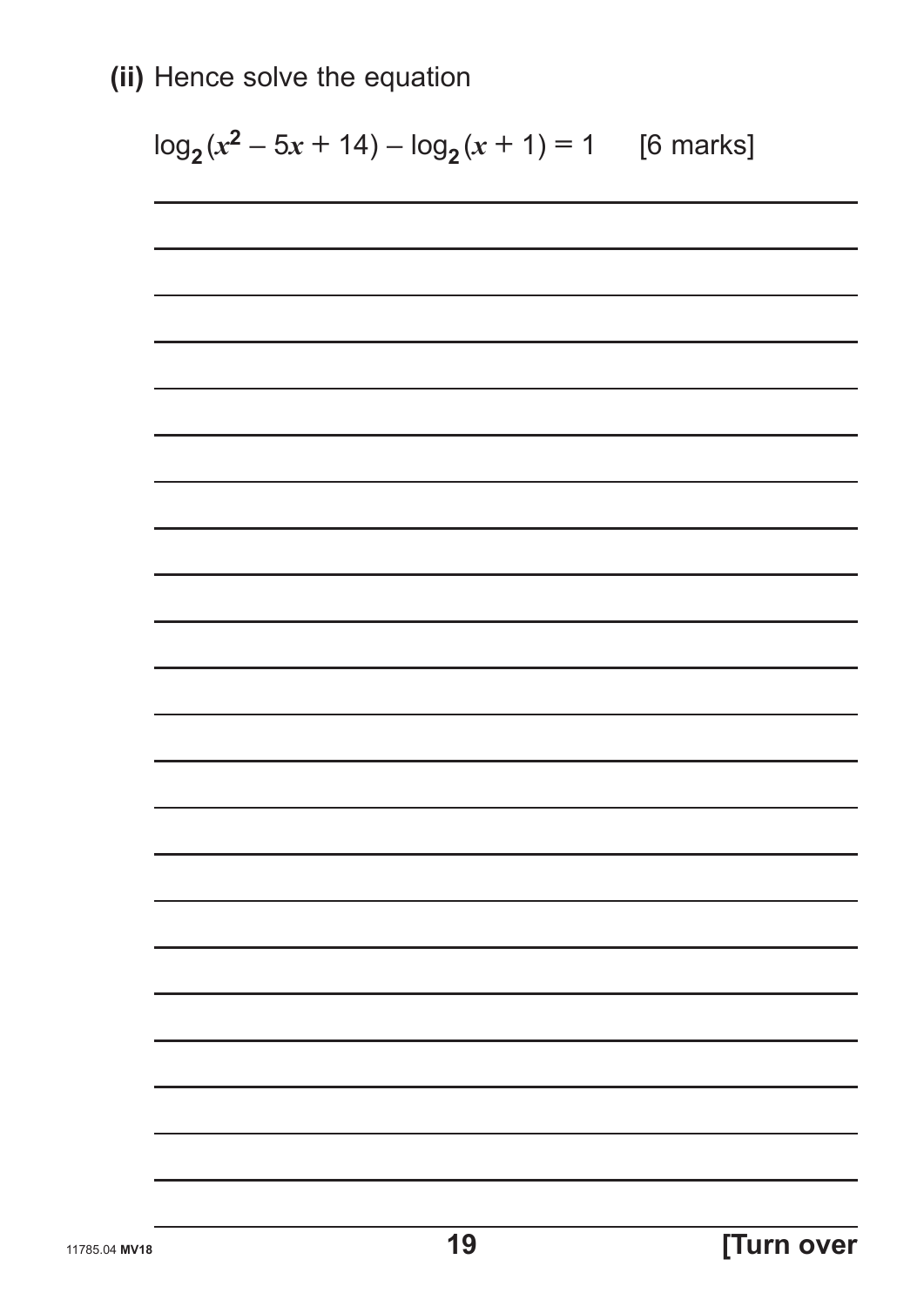**(ii)** Hence solve the equation

$$
log_2(x^2 - 5x + 14) - log_2(x + 1) = 1
$$
 [6 marks]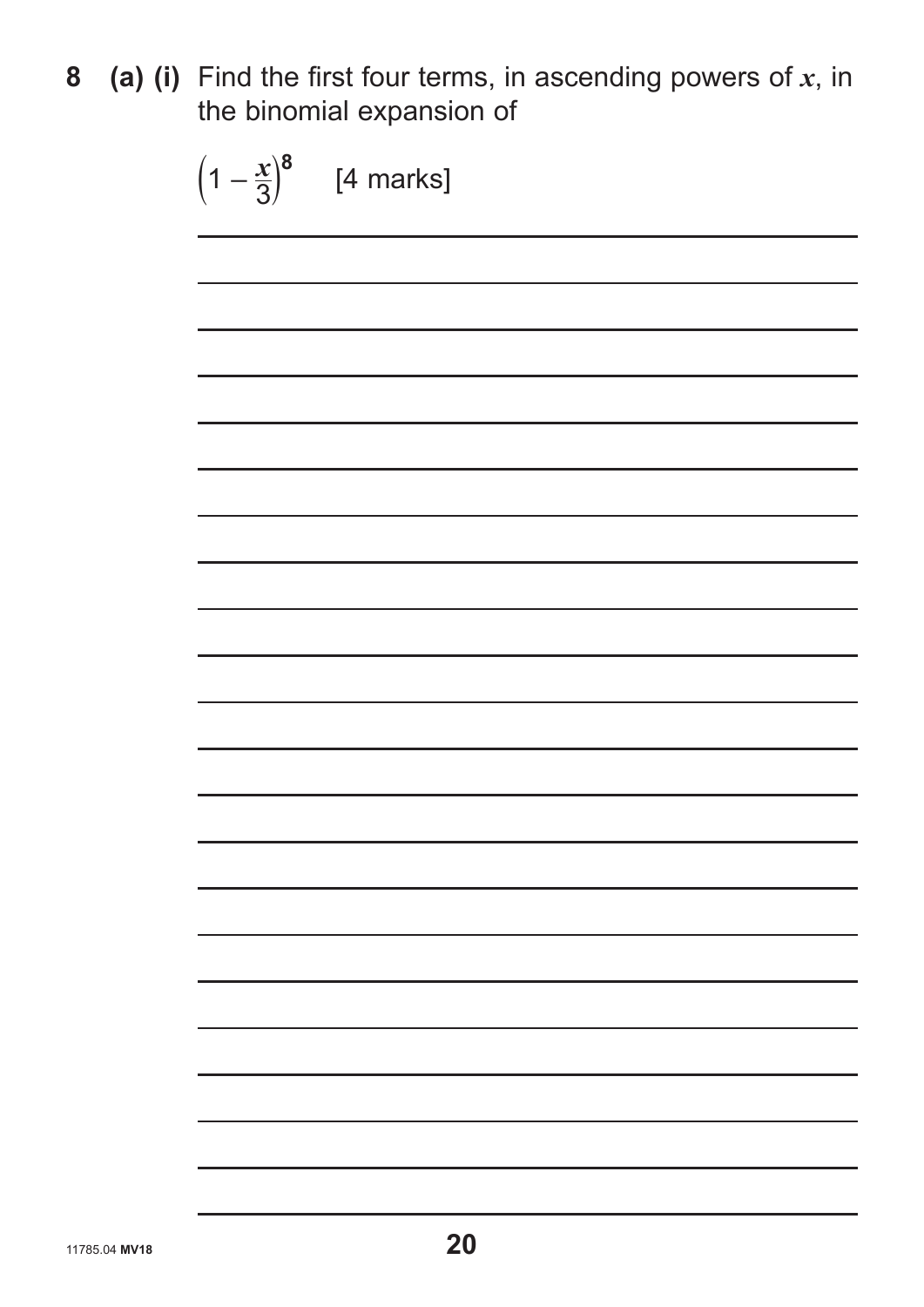**8 (a) (i)** Find the first four terms, in ascending powers of *x*, in the binomial expansion of

| $(1-\frac{x}{3})^8$ [4 marks] |  |
|-------------------------------|--|
|                               |  |
|                               |  |
|                               |  |
|                               |  |
|                               |  |
|                               |  |
|                               |  |
|                               |  |
|                               |  |
|                               |  |
|                               |  |
|                               |  |
|                               |  |
|                               |  |
|                               |  |
|                               |  |
|                               |  |
|                               |  |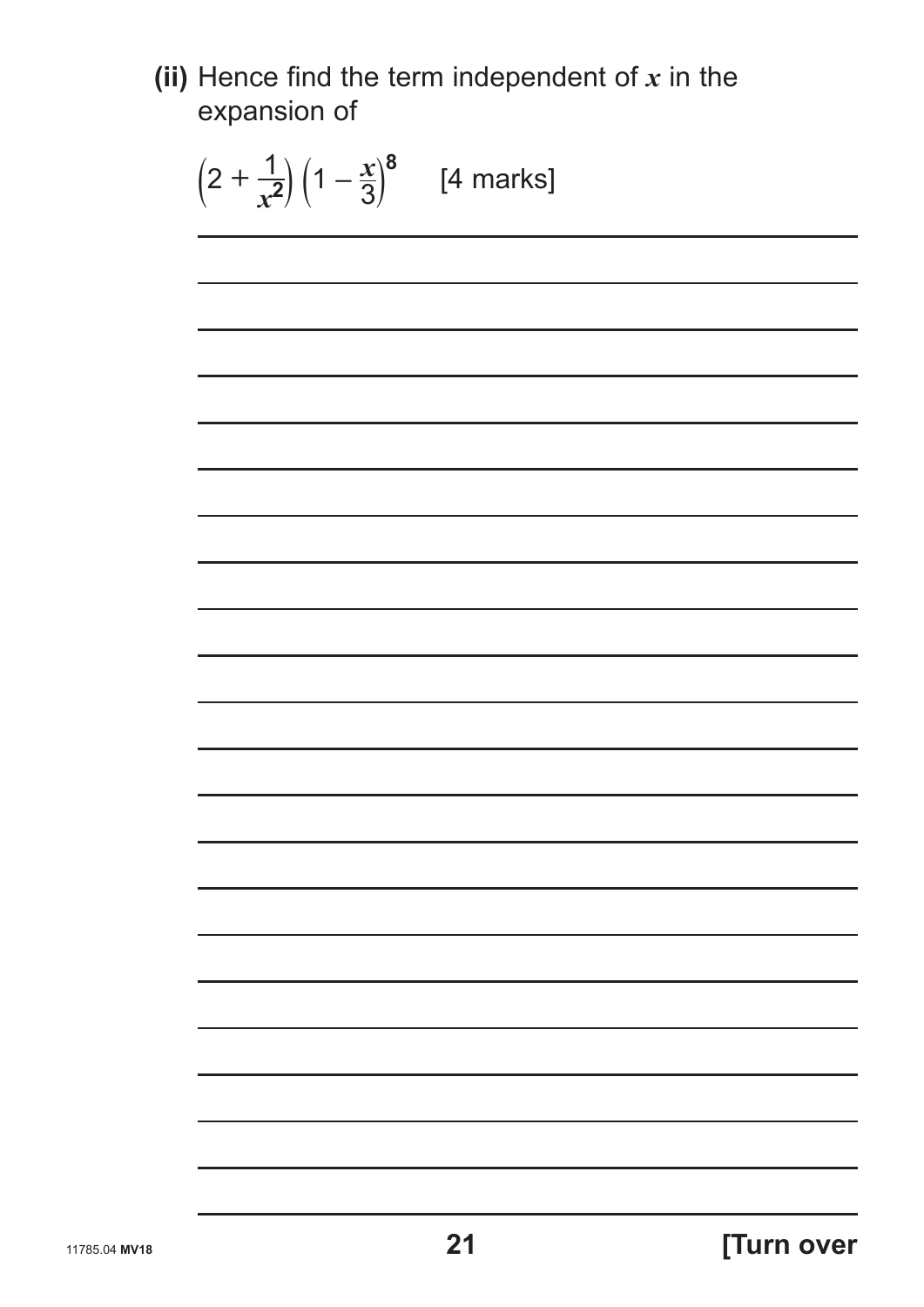(ii) Hence find the term independent of  $x$  in the expansion of

 $\left(2+\frac{1}{x^2}\right)\left(1-\frac{x}{3}\right)^8$  [4 marks]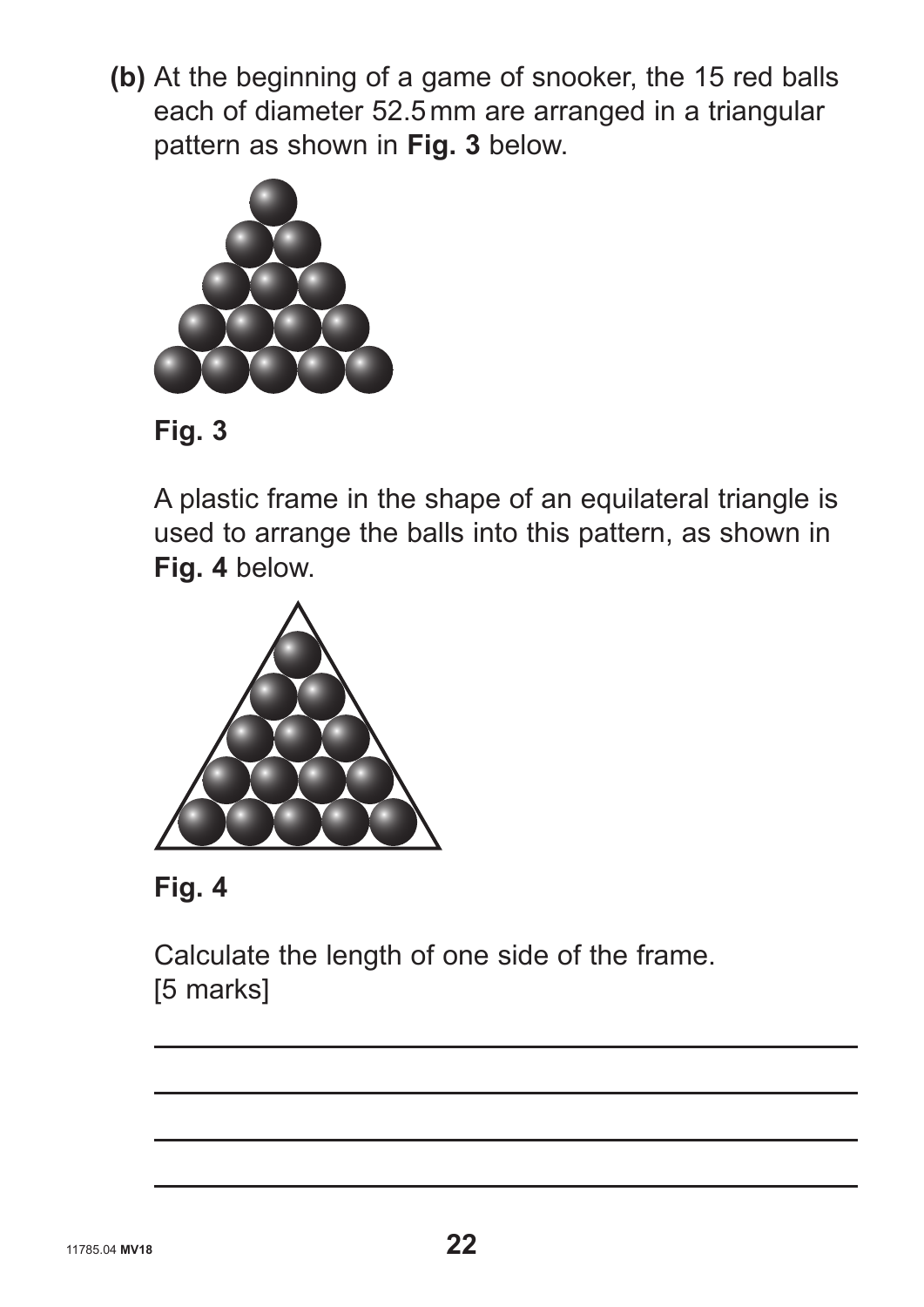**(b)** At the beginning of a game of snooker, the 15 red balls each of diameter 52.5 mm are arranged in a triangular pattern as shown in **Fig. 3** below.



 **Fig. 3**

 A plastic frame in the shape of an equilateral triangle is used to arrange the balls into this pattern, as shown in **Fig. 4** below.





 Calculate the length of one side of the frame. [5 marks]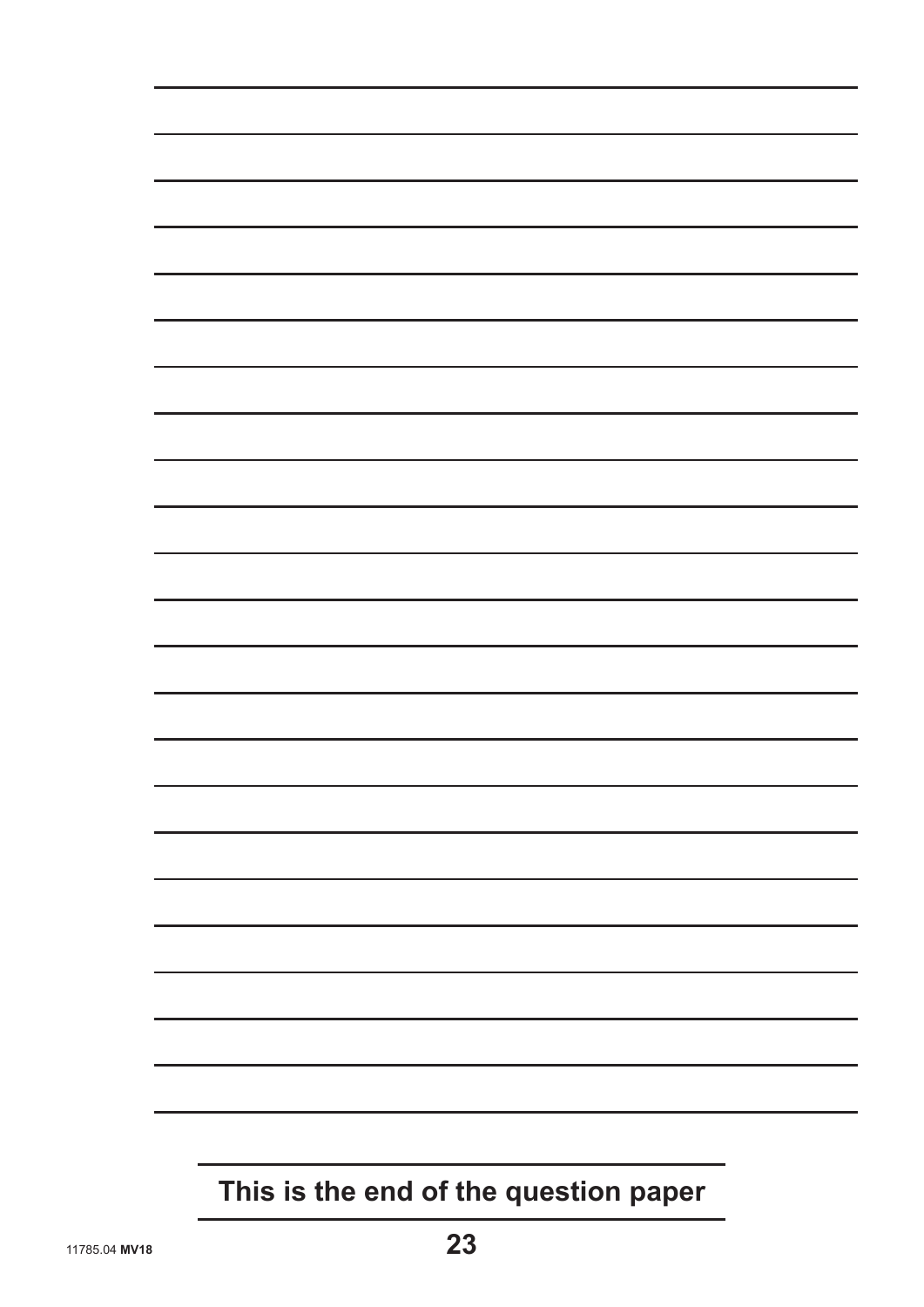### This is the end of the question paper